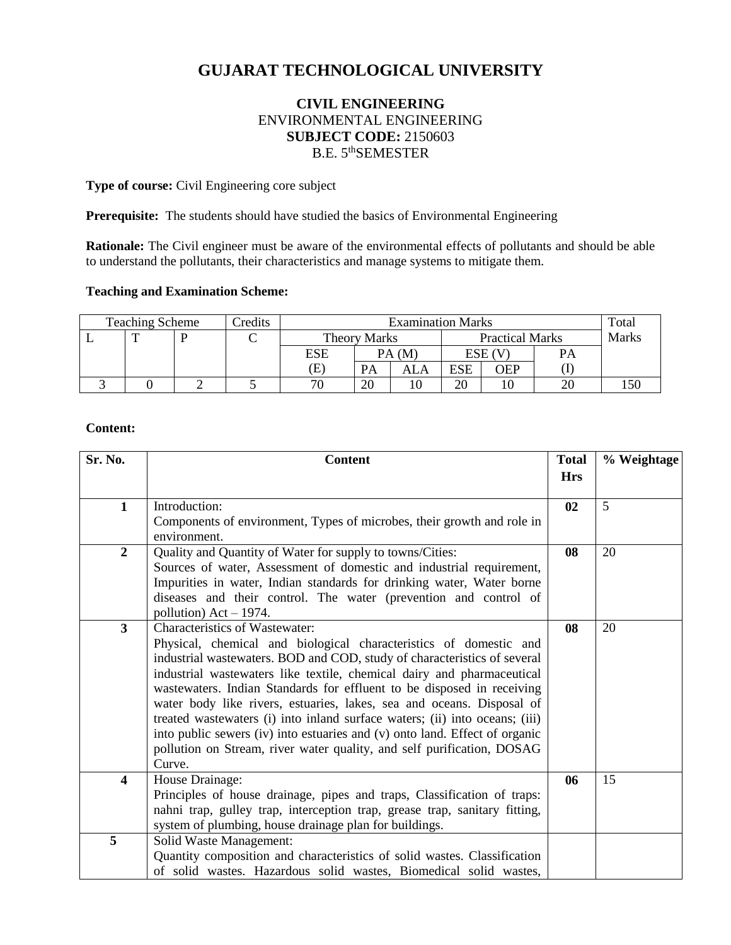# **GUJARAT TECHNOLOGICAL UNIVERSITY**

# **CIVIL ENGINEERING** ENVIRONMENTAL ENGINEERING **SUBJECT CODE:** 2150603 B.E. 5<sup>th</sup>SEMESTER

**Type of course:** Civil Engineering core subject

Prerequisite: The students should have studied the basics of Environmental Engineering

**Rationale:** The Civil engineer must be aware of the environmental effects of pollutants and should be able to understand the pollutants, their characteristics and manage systems to mitigate them.

# **Teaching and Examination Scheme:**

| <b>Teaching Scheme</b> |  |  | Credits | <b>Examination Marks</b> |       |                        |            | Total |              |  |
|------------------------|--|--|---------|--------------------------|-------|------------------------|------------|-------|--------------|--|
|                        |  |  | ◡       | <b>Theory Marks</b>      |       | <b>Practical Marks</b> |            |       | <b>Marks</b> |  |
|                        |  |  |         | <b>ESE</b>               | PA(M) |                        | ESE (      |       | PА           |  |
|                        |  |  |         | Œ                        | PA    | ALA                    | <b>ESE</b> | OEP   |              |  |
|                        |  |  |         | 70                       | 20    |                        | 20         |       | 20           |  |

# **Content:**

| Sr. No.                 | <b>Content</b>                                                                                                                                   | <b>Total</b> | % Weightage |
|-------------------------|--------------------------------------------------------------------------------------------------------------------------------------------------|--------------|-------------|
|                         |                                                                                                                                                  | <b>Hrs</b>   |             |
| $\mathbf{1}$            | Introduction:                                                                                                                                    | 02           | 5           |
|                         | Components of environment, Types of microbes, their growth and role in<br>environment.                                                           |              |             |
| $\overline{2}$          | Quality and Quantity of Water for supply to towns/Cities:                                                                                        | 08           | 20          |
|                         | Sources of water, Assessment of domestic and industrial requirement,                                                                             |              |             |
|                         | Impurities in water, Indian standards for drinking water, Water borne<br>diseases and their control. The water (prevention and control of        |              |             |
|                         | pollution) $Act - 1974$ .                                                                                                                        |              |             |
| $\overline{\mathbf{3}}$ | Characteristics of Wastewater:                                                                                                                   | 08           | 20          |
|                         | Physical, chemical and biological characteristics of domestic and                                                                                |              |             |
|                         | industrial wastewaters. BOD and COD, study of characteristics of several                                                                         |              |             |
|                         | industrial wastewaters like textile, chemical dairy and pharmaceutical<br>wastewaters. Indian Standards for effluent to be disposed in receiving |              |             |
|                         | water body like rivers, estuaries, lakes, sea and oceans. Disposal of                                                                            |              |             |
|                         | treated wastewaters (i) into inland surface waters; (ii) into oceans; (iii)                                                                      |              |             |
|                         | into public sewers (iv) into estuaries and (v) onto land. Effect of organic                                                                      |              |             |
|                         | pollution on Stream, river water quality, and self purification, DOSAG                                                                           |              |             |
| 4                       | Curve.<br>House Drainage:                                                                                                                        | 06           | 15          |
|                         | Principles of house drainage, pipes and traps, Classification of traps:                                                                          |              |             |
|                         | nahni trap, gulley trap, interception trap, grease trap, sanitary fitting,                                                                       |              |             |
|                         | system of plumbing, house drainage plan for buildings.                                                                                           |              |             |
| 5                       | Solid Waste Management:                                                                                                                          |              |             |
|                         | Quantity composition and characteristics of solid wastes. Classification                                                                         |              |             |
|                         | of solid wastes. Hazardous solid wastes, Biomedical solid wastes,                                                                                |              |             |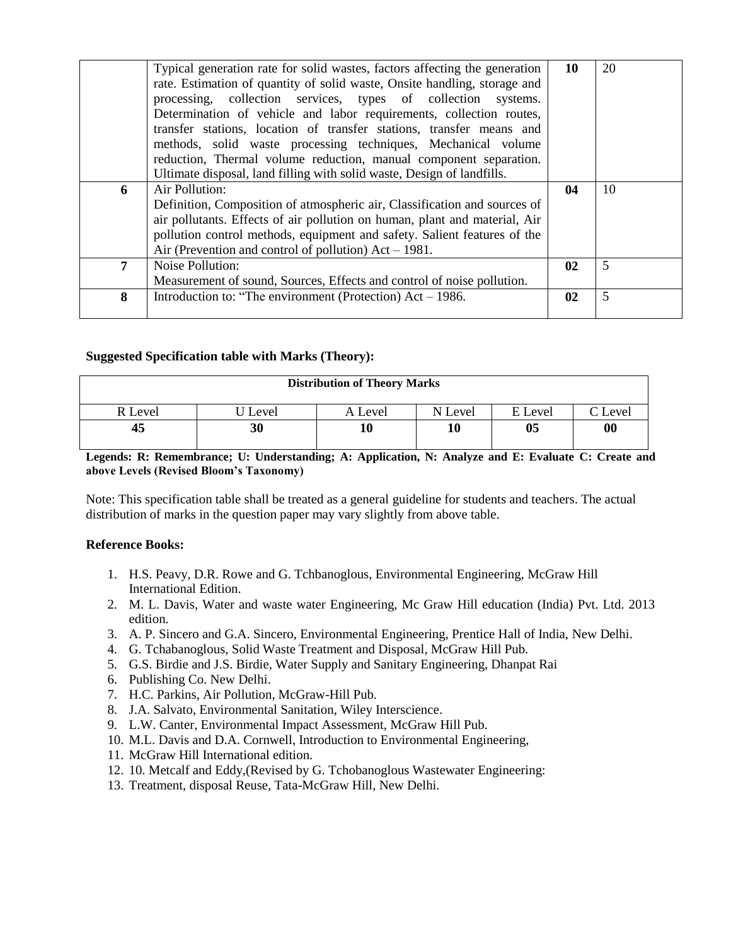|   | Typical generation rate for solid wastes, factors affecting the generation<br>rate. Estimation of quantity of solid waste, Onsite handling, storage and | 10            | 20 |
|---|---------------------------------------------------------------------------------------------------------------------------------------------------------|---------------|----|
|   | processing, collection services, types of collection systems.                                                                                           |               |    |
|   | Determination of vehicle and labor requirements, collection routes,                                                                                     |               |    |
|   | transfer stations, location of transfer stations, transfer means and                                                                                    |               |    |
|   | methods, solid waste processing techniques, Mechanical volume<br>reduction, Thermal volume reduction, manual component separation.                      |               |    |
|   | Ultimate disposal, land filling with solid waste, Design of landfills.                                                                                  |               |    |
| 6 | Air Pollution:                                                                                                                                          | 04            | 10 |
|   | Definition, Composition of atmospheric air, Classification and sources of                                                                               |               |    |
|   | air pollutants. Effects of air pollution on human, plant and material, Air                                                                              |               |    |
|   | pollution control methods, equipment and safety. Salient features of the                                                                                |               |    |
|   | Air (Prevention and control of pollution) $Act - 1981$ .                                                                                                |               |    |
| 7 | Noise Pollution:                                                                                                                                        | $\mathbf{02}$ | 5  |
|   | Measurement of sound, Sources, Effects and control of noise pollution.                                                                                  |               |    |
| 8 | Introduction to: "The environment (Protection) $Act - 1986$ .                                                                                           | $\mathbf{02}$ | 5  |
|   |                                                                                                                                                         |               |    |

# **Suggested Specification table with Marks (Theory):**

| <b>Distribution of Theory Marks</b> |       |         |         |         |                     |  |  |
|-------------------------------------|-------|---------|---------|---------|---------------------|--|--|
| R Level                             | Level | A Level | N Level | E Level | $\mathcal{C}$ Level |  |  |
| 45                                  | 30    |         |         | 05      | $\boldsymbol{00}$   |  |  |

**Legends: R: Remembrance; U: Understanding; A: Application, N: Analyze and E: Evaluate C: Create and above Levels (Revised Bloom's Taxonomy)**

Note: This specification table shall be treated as a general guideline for students and teachers. The actual distribution of marks in the question paper may vary slightly from above table.

# **Reference Books:**

- 1. H.S. Peavy, D.R. Rowe and G. Tchbanoglous, Environmental Engineering, McGraw Hill International Edition.
- 2. M. L. Davis, Water and waste water Engineering, Mc Graw Hill education (India) Pvt. Ltd. 2013 edition.
- 3. A. P. Sincero and G.A. Sincero, Environmental Engineering, Prentice Hall of India, New Delhi.
- 4. G. Tchabanoglous, Solid Waste Treatment and Disposal, McGraw Hill Pub.
- 5. G.S. Birdie and J.S. Birdie, Water Supply and Sanitary Engineering, Dhanpat Rai
- 6. Publishing Co. New Delhi.
- 7. H.C. Parkins, Air Pollution, McGraw-Hill Pub.
- 8. J.A. Salvato, Environmental Sanitation, Wiley Interscience.
- 9. L.W. Canter, Environmental Impact Assessment, McGraw Hill Pub.
- 10. M.L. Davis and D.A. Cornwell, Introduction to Environmental Engineering,
- 11. McGraw Hill International edition.
- 12. 10. Metcalf and Eddy,(Revised by G. Tchobanoglous Wastewater Engineering:
- 13. Treatment, disposal Reuse, Tata-McGraw Hill, New Delhi.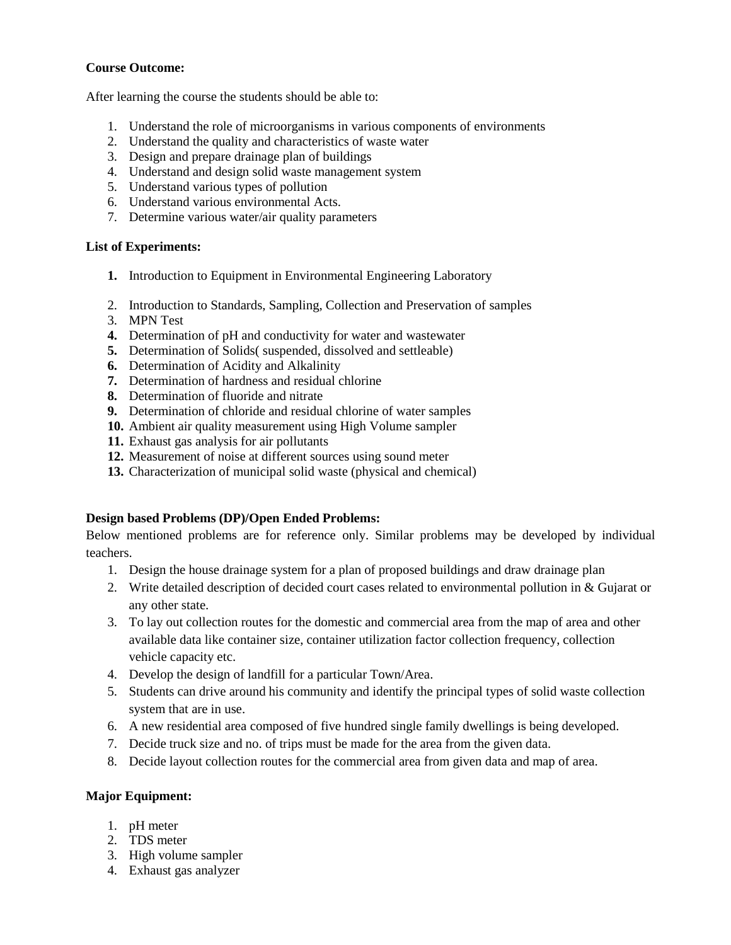#### **Course Outcome:**

After learning the course the students should be able to:

- 1. Understand the role of microorganisms in various components of environments
- 2. Understand the quality and characteristics of waste water
- 3. Design and prepare drainage plan of buildings
- 4. Understand and design solid waste management system
- 5. Understand various types of pollution
- 6. Understand various environmental Acts.
- 7. Determine various water/air quality parameters

#### **List of Experiments:**

- **1.** Introduction to Equipment in Environmental Engineering Laboratory
- 2. Introduction to Standards, Sampling, Collection and Preservation of samples
- 3. MPN Test
- **4.** Determination of pH and conductivity for water and wastewater
- **5.** Determination of Solids( suspended, dissolved and settleable)
- **6.** Determination of Acidity and Alkalinity
- **7.** Determination of hardness and residual chlorine
- **8.** Determination of fluoride and nitrate
- **9.** Determination of chloride and residual chlorine of water samples
- **10.** Ambient air quality measurement using High Volume sampler
- **11.** Exhaust gas analysis for air pollutants
- **12.** Measurement of noise at different sources using sound meter
- **13.** Characterization of municipal solid waste (physical and chemical)

# **Design based Problems (DP)/Open Ended Problems:**

Below mentioned problems are for reference only. Similar problems may be developed by individual teachers.

- 1. Design the house drainage system for a plan of proposed buildings and draw drainage plan
- 2. Write detailed description of decided court cases related to environmental pollution in & Gujarat or any other state.
- 3. To lay out collection routes for the domestic and commercial area from the map of area and other available data like container size, container utilization factor collection frequency, collection vehicle capacity etc.
- 4. Develop the design of landfill for a particular Town/Area.
- 5. Students can drive around his community and identify the principal types of solid waste collection system that are in use.
- 6. A new residential area composed of five hundred single family dwellings is being developed.
- 7. Decide truck size and no. of trips must be made for the area from the given data.
- 8. Decide layout collection routes for the commercial area from given data and map of area.

# **Major Equipment:**

- 1. pH meter
- 2. TDS meter
- 3. High volume sampler
- 4. Exhaust gas analyzer